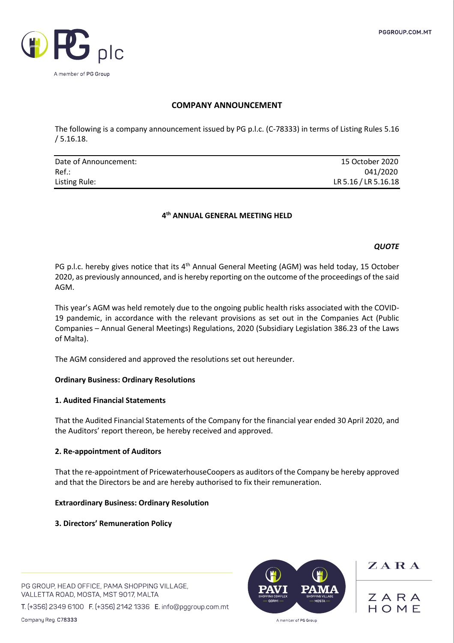

# **COMPANY ANNOUNCEMENT**

The following is a company announcement issued by PG p.l.c. (C-78333) in terms of Listing Rules 5.16 / 5.16.18.

| Date of Announcement: | 15 October 2020      |
|-----------------------|----------------------|
| $Ref.$ :              | 041/2020             |
| Listing Rule:         | LR 5.16 / LR 5.16.18 |

# **4 th ANNUAL GENERAL MEETING HELD**

## *QUOTE*

PG p.l.c. hereby gives notice that its 4<sup>th</sup> Annual General Meeting (AGM) was held today, 15 October 2020, as previously announced, and is hereby reporting on the outcome of the proceedings of the said AGM.

This year's AGM was held remotely due to the ongoing public health risks associated with the COVID-19 pandemic, in accordance with the relevant provisions as set out in the Companies Act (Public Companies – Annual General Meetings) Regulations, 2020 (Subsidiary Legislation 386.23 of the Laws of Malta).

The AGM considered and approved the resolutions set out hereunder.

## **Ordinary Business: Ordinary Resolutions**

## **1. Audited Financial Statements**

That the Audited Financial Statements of the Company for the financial year ended 30 April 2020, and the Auditors' report thereon, be hereby received and approved.

## **2. Re-appointment of Auditors**

That the re-appointment of PricewaterhouseCoopers as auditors of the Company be hereby approved and that the Directors be and are hereby authorised to fix their remuneration.

## **Extraordinary Business: Ordinary Resolution**

## **3. Directors' Remuneration Policy**

PG GROUP, HEAD OFFICE, PAMA SHOPPING VILLAGE, VALLETTA ROAD, MOSTA, MST 9017, MALTA

T. (+356) 2349 6100 F. (+356) 2142 1336 E. info@pggroup.com.mt



 $Z$  A R A

ZARA HOMF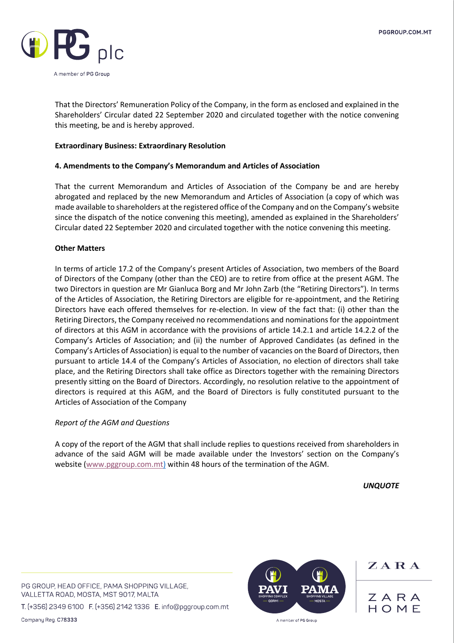

That the Directors' Remuneration Policy of the Company, in the form as enclosed and explained in the Shareholders' Circular dated 22 September 2020 and circulated together with the notice convening this meeting, be and is hereby approved.

## **Extraordinary Business: Extraordinary Resolution**

## **4. Amendments to the Company's Memorandum and Articles of Association**

That the current Memorandum and Articles of Association of the Company be and are hereby abrogated and replaced by the new Memorandum and Articles of Association (a copy of which was made available to shareholders at the registered office of the Company and on the Company's website since the dispatch of the notice convening this meeting), amended as explained in the Shareholders' Circular dated 22 September 2020 and circulated together with the notice convening this meeting.

## **Other Matters**

In terms of article 17.2 of the Company's present Articles of Association, two members of the Board of Directors of the Company (other than the CEO) are to retire from office at the present AGM. The two Directors in question are Mr Gianluca Borg and Mr John Zarb (the "Retiring Directors"). In terms of the Articles of Association, the Retiring Directors are eligible for re-appointment, and the Retiring Directors have each offered themselves for re-election. In view of the fact that: (i) other than the Retiring Directors, the Company received no recommendations and nominations for the appointment of directors at this AGM in accordance with the provisions of article 14.2.1 and article 14.2.2 of the Company's Articles of Association; and (ii) the number of Approved Candidates (as defined in the Company's Articles of Association) is equal to the number of vacancies on the Board of Directors, then pursuant to article 14.4 of the Company's Articles of Association, no election of directors shall take place, and the Retiring Directors shall take office as Directors together with the remaining Directors presently sitting on the Board of Directors. Accordingly, no resolution relative to the appointment of directors is required at this AGM, and the Board of Directors is fully constituted pursuant to the Articles of Association of the Company

## *Report of the AGM and Questions*

A copy of the report of the AGM that shall include replies to questions received from shareholders in advance of the said AGM will be made available under the Investors' section on the Company's website [\(www.pggroup.com.mt\)](http://www.pggroup.com.mt/) within 48 hours of the termination of the AGM.

*UNQUOTE*

PG GROUP, HEAD OFFICE, PAMA SHOPPING VILLAGE, VALLETTA ROAD, MOSTA, MST 9017, MALTA

T. (+356) 2349 6100 F. (+356) 2142 1336 E. info@pggroup.com.mt

Company Reg. C78333



 $\mathbf{Z} \mathbf{A} \mathbf{R} \mathbf{A}$